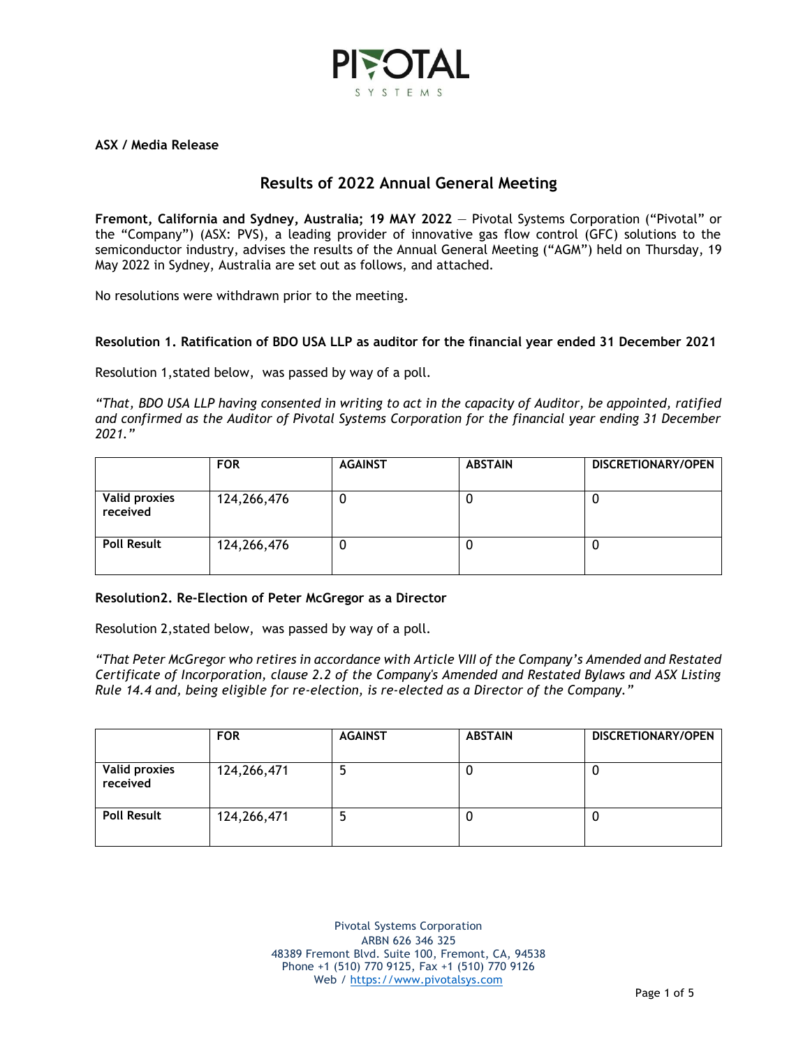

**ASX / Media Release**

# **Results of 2022 Annual General Meeting**

**Fremont, California and Sydney, Australia; 19 MAY 2022** — Pivotal Systems Corporation ("Pivotal" or the "Company") (ASX: PVS), a leading provider of innovative gas flow control (GFC) solutions to the semiconductor industry, advises the results of the Annual General Meeting ("AGM") held on Thursday, 19 May 2022 in Sydney, Australia are set out as follows, and attached.

No resolutions were withdrawn prior to the meeting.

## **Resolution 1. Ratification of BDO USA LLP as auditor for the financial year ended 31 December 2021**

Resolution 1,stated below, was passed by way of a poll.

*"That, BDO USA LLP having consented in writing to act in the capacity of Auditor, be appointed, ratified and confirmed as the Auditor of Pivotal Systems Corporation for the financial year ending 31 December 2021."*

|                                  | <b>FOR</b>  |   | <b>ABSTAIN</b> | <b>DISCRETIONARY/OPEN</b> |  |  |
|----------------------------------|-------------|---|----------------|---------------------------|--|--|
| <b>Valid proxies</b><br>received | 124,266,476 | U | U              |                           |  |  |
| <b>Poll Result</b>               | 124,266,476 | Ü | U              | U                         |  |  |

## **Resolution2. Re-Election of Peter McGregor as a Director**

Resolution 2,stated below, was passed by way of a poll.

*"That Peter McGregor who retires in accordance with Article VIII of the Company's Amended and Restated Certificate of Incorporation, clause 2.2 of the Company's Amended and Restated Bylaws and ASX Listing Rule 14.4 and, being eligible for re-election, is re-elected as a Director of the Company."*

|                                  | <b>FOR</b>  | <b>AGAINST</b> | <b>ABSTAIN</b> | DISCRETIONARY/OPEN |
|----------------------------------|-------------|----------------|----------------|--------------------|
| <b>Valid proxies</b><br>received | 124,266,471 |                | u              | υ                  |
| <b>Poll Result</b>               | 124,266,471 |                | U              | υ                  |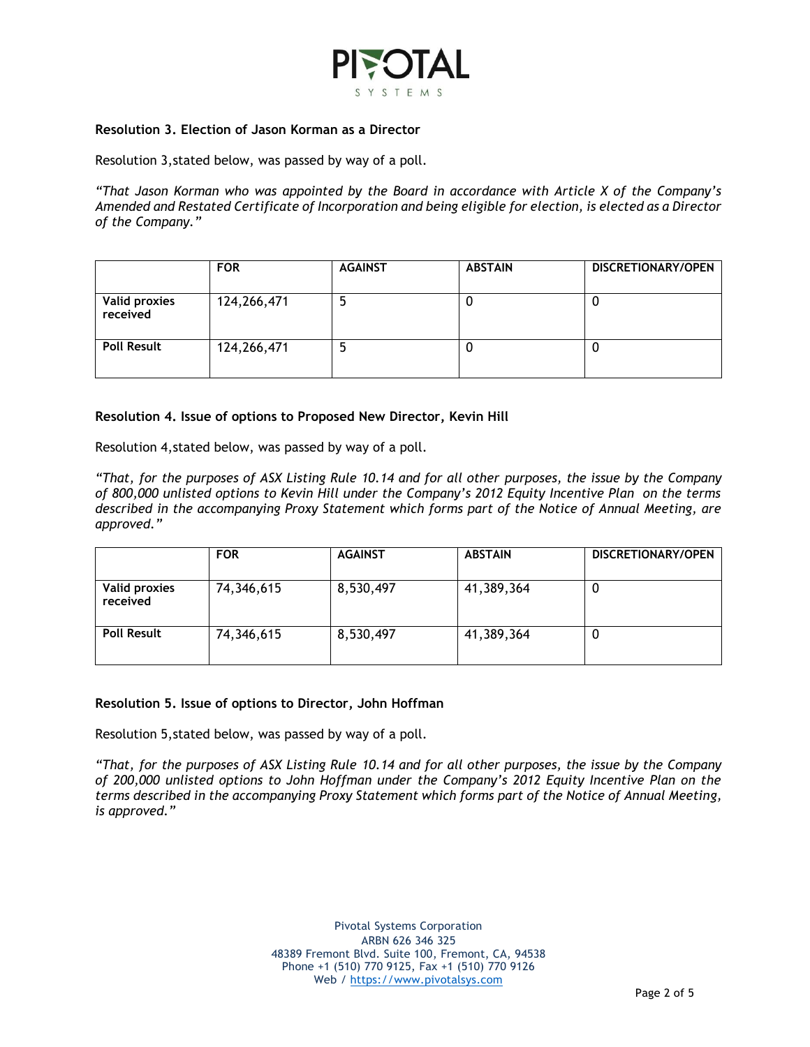

### **Resolution 3. Election of Jason Korman as a Director**

Resolution 3,stated below, was passed by way of a poll.

*"That Jason Korman who was appointed by the Board in accordance with Article X of the Company's Amended and Restated Certificate of Incorporation and being eligible for election, is elected as a Director of the Company."*

|                                  | <b>FOR</b>  | <b>AGAINST</b> | <b>ABSTAIN</b> | DISCRETIONARY/OPEN |
|----------------------------------|-------------|----------------|----------------|--------------------|
| <b>Valid proxies</b><br>received | 124,266,471 |                |                |                    |
| <b>Poll Result</b>               | 124,266,471 |                |                |                    |

### **Resolution 4. Issue of options to Proposed New Director, Kevin Hill**

Resolution 4,stated below, was passed by way of a poll.

*"That, for the purposes of ASX Listing Rule 10.14 and for all other purposes, the issue by the Company of 800,000 unlisted options to Kevin Hill under the Company's 2012 Equity Incentive Plan on the terms described in the accompanying Proxy Statement which forms part of the Notice of Annual Meeting, are approved."*

|                                  | <b>FOR</b> | <b>AGAINST</b> | <b>ABSTAIN</b> | DISCRETIONARY/OPEN |  |  |
|----------------------------------|------------|----------------|----------------|--------------------|--|--|
| <b>Valid proxies</b><br>received | 74,346,615 | 8,530,497      | 41,389,364     | U                  |  |  |
| <b>Poll Result</b>               | 74,346,615 | 8,530,497      | 41,389,364     | Ü                  |  |  |

### **Resolution 5. Issue of options to Director, John Hoffman**

Resolution 5,stated below, was passed by way of a poll.

*"That, for the purposes of ASX Listing Rule 10.14 and for all other purposes, the issue by the Company of 200,000 unlisted options to John Hoffman under the Company's 2012 Equity Incentive Plan on the terms described in the accompanying Proxy Statement which forms part of the Notice of Annual Meeting, is approved."*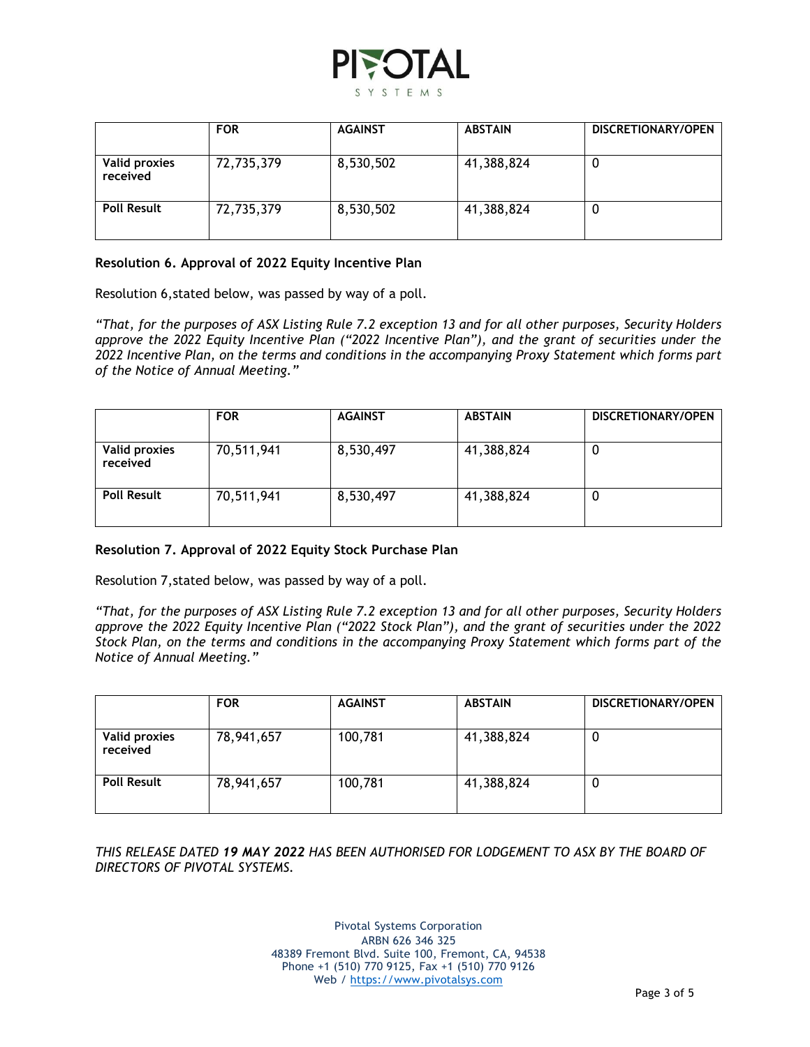

|                                  | <b>FOR</b> | <b>AGAINST</b> | <b>ABSTAIN</b> | DISCRETIONARY/OPEN |
|----------------------------------|------------|----------------|----------------|--------------------|
| <b>Valid proxies</b><br>received | 72,735,379 | 8,530,502      | 41,388,824     | 0                  |
| <b>Poll Result</b>               | 72,735,379 | 8,530,502      | 41,388,824     | 0                  |

## **Resolution 6. Approval of 2022 Equity Incentive Plan**

Resolution 6,stated below, was passed by way of a poll.

*"That, for the purposes of ASX Listing Rule 7.2 exception 13 and for all other purposes, Security Holders approve the 2022 Equity Incentive Plan ("2022 Incentive Plan"), and the grant of securities under the 2022 Incentive Plan, on the terms and conditions in the accompanying Proxy Statement which forms part of the Notice of Annual Meeting."*

|                                  | <b>FOR</b> | <b>AGAINST</b> | <b>ABSTAIN</b> | DISCRETIONARY/OPEN |
|----------------------------------|------------|----------------|----------------|--------------------|
| <b>Valid proxies</b><br>received | 70,511,941 | 8,530,497      | 41,388,824     | 0                  |
| <b>Poll Result</b>               | 70,511,941 | 8,530,497      | 41,388,824     | O                  |

## **Resolution 7. Approval of 2022 Equity Stock Purchase Plan**

Resolution 7,stated below, was passed by way of a poll.

*"That, for the purposes of ASX Listing Rule 7.2 exception 13 and for all other purposes, Security Holders approve the 2022 Equity Incentive Plan ("2022 Stock Plan"), and the grant of securities under the 2022 Stock Plan, on the terms and conditions in the accompanying Proxy Statement which forms part of the Notice of Annual Meeting."*

|                                  | <b>FOR</b> | <b>AGAINST</b> | <b>ABSTAIN</b> | DISCRETIONARY/OPEN |
|----------------------------------|------------|----------------|----------------|--------------------|
| <b>Valid proxies</b><br>received | 78,941,657 | 100,781        | 41,388,824     | 0                  |
| <b>Poll Result</b>               | 78,941,657 | 100,781        | 41,388,824     | 0                  |

*THIS RELEASE DATED 19 MAY 2022 HAS BEEN AUTHORISED FOR LODGEMENT TO ASX BY THE BOARD OF DIRECTORS OF PIVOTAL SYSTEMS.*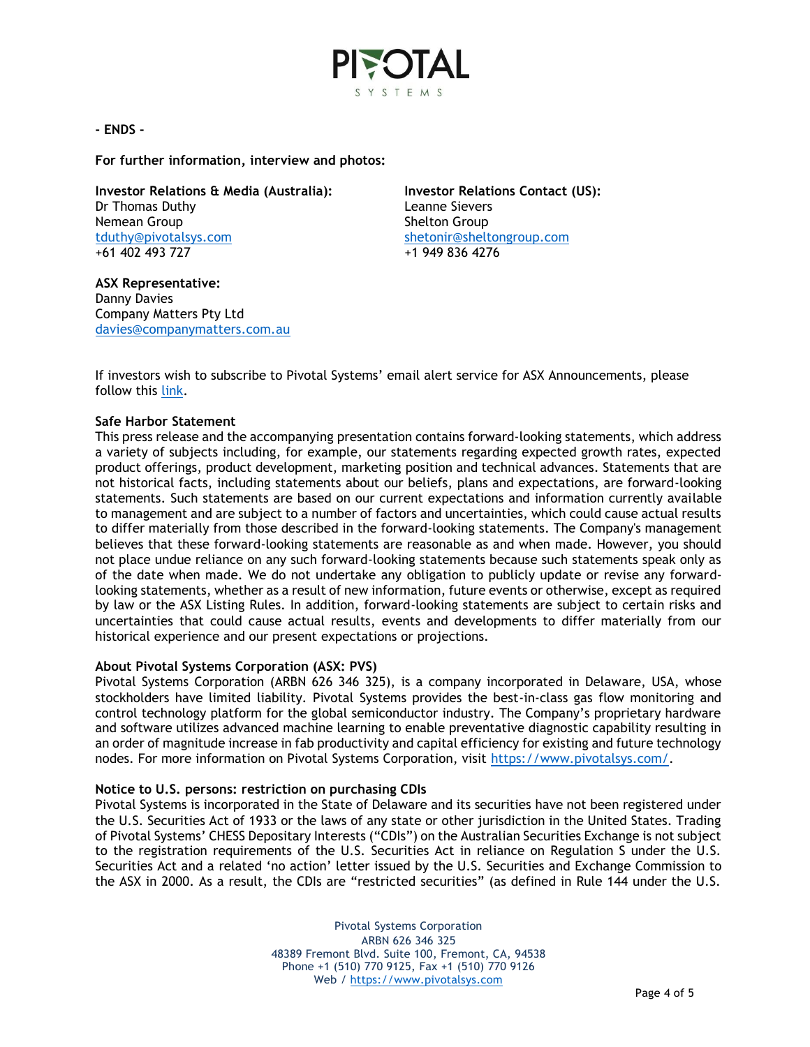

## **- ENDS -**

**For further information, interview and photos:**

**Investor Relations & Media (Australia):** Dr Thomas Duthy Nemean Group [tduthy@pivotalsys.com](mailto:tduthy@pivotalsys.com.au) +61 402 493 727

**ASX Representative:**  Danny Davies Company Matters Pty Ltd [davies@companymatters.com.au](mailto:davies@companymatters.com.au)

**Investor Relations Contact (US):**  Leanne Sievers Shelton Group [shetonir@sheltongroup.com](mailto:shetonir@sheltongroup.com) +1 949 836 4276

If investors wish to subscribe to Pivotal Systems' email alert service for ASX Announcements, please follow this [link.](https://www.pivotalsys.com/investors#asx)

### **Safe Harbor Statement**

This press release and the accompanying presentation contains forward-looking statements, which address a variety of subjects including, for example, our statements regarding expected growth rates, expected product offerings, product development, marketing position and technical advances. Statements that are not historical facts, including statements about our beliefs, plans and expectations, are forward-looking statements. Such statements are based on our current expectations and information currently available to management and are subject to a number of factors and uncertainties, which could cause actual results to differ materially from those described in the forward-looking statements. The Company's management believes that these forward-looking statements are reasonable as and when made. However, you should not place undue reliance on any such forward-looking statements because such statements speak only as of the date when made. We do not undertake any obligation to publicly update or revise any forwardlooking statements, whether as a result of new information, future events or otherwise, except as required by law or the ASX Listing Rules. In addition, forward-looking statements are subject to certain risks and uncertainties that could cause actual results, events and developments to differ materially from our historical experience and our present expectations or projections.

## **About Pivotal Systems Corporation (ASX: PVS)**

Pivotal Systems Corporation (ARBN 626 346 325), is a company incorporated in Delaware, USA, whose stockholders have limited liability. Pivotal Systems provides the best-in-class gas flow monitoring and control technology platform for the global semiconductor industry. The Company's proprietary hardware and software utilizes advanced machine learning to enable preventative diagnostic capability resulting in an order of magnitude increase in fab productivity and capital efficiency for existing and future technology nodes. For more information on Pivotal Systems Corporation, visit [https://www.pivotalsys.com/.](https://www.pivotalsys.com/)

## **Notice to U.S. persons: restriction on purchasing CDIs**

Pivotal Systems is incorporated in the State of Delaware and its securities have not been registered under the U.S. Securities Act of 1933 or the laws of any state or other jurisdiction in the United States. Trading of Pivotal Systems' CHESS Depositary Interests ("CDIs") on the Australian Securities Exchange is not subject to the registration requirements of the U.S. Securities Act in reliance on Regulation S under the U.S. Securities Act and a related 'no action' letter issued by the U.S. Securities and Exchange Commission to the ASX in 2000. As a result, the CDIs are "restricted securities" (as defined in Rule 144 under the U.S.

> Pivotal Systems Corporation ARBN 626 346 325 48389 Fremont Blvd. Suite 100, Fremont, CA, 94538 Phone +1 (510) 770 9125, Fax +1 (510) 770 9126 Web / [https://www.pivotalsys.com](https://www.pivotalsys.com/)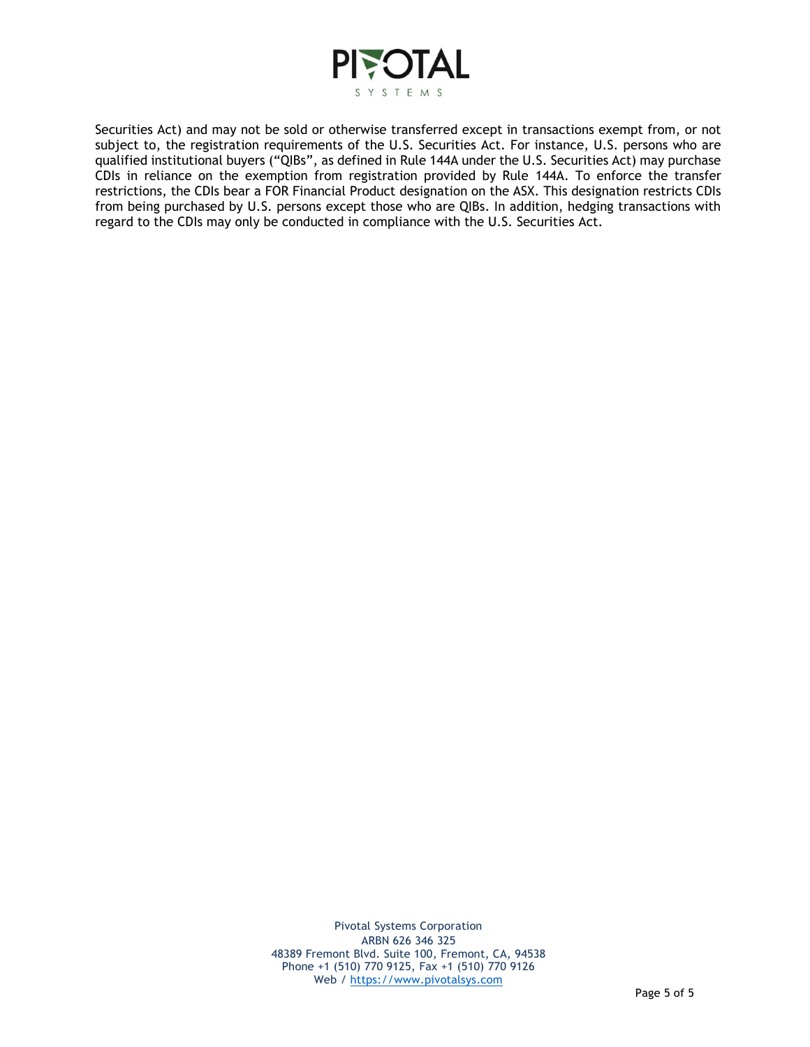

Securities Act) and may not be sold or otherwise transferred except in transactions exempt from, or not subject to, the registration requirements of the U.S. Securities Act. For instance, U.S. persons who are qualified institutional buyers ("QIBs", as defined in Rule 144A under the U.S. Securities Act) may purchase CDIs in reliance on the exemption from registration provided by Rule 144A. To enforce the transfer restrictions, the CDIs bear a FOR Financial Product designation on the ASX. This designation restricts CDIs from being purchased by U.S. persons except those who are QIBs. In addition, hedging transactions with regard to the CDIs may only be conducted in compliance with the U.S. Securities Act.